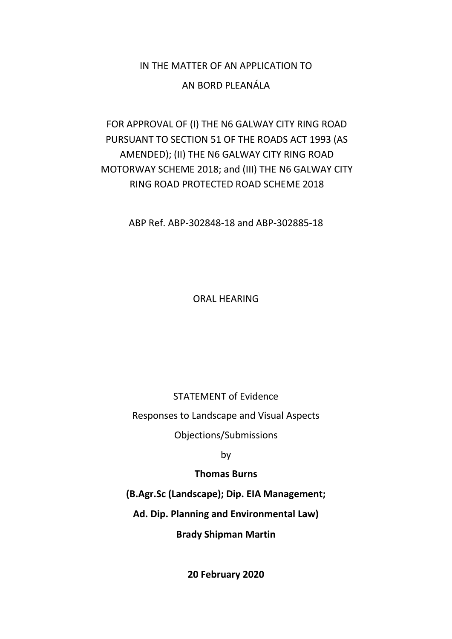## IN THE MATTER OF AN APPLICATION TO

### AN BORD PLEANÁLA

# FOR APPROVAL OF (I) THE N6 GALWAY CITY RING ROAD PURSUANT TO SECTION 51 OF THE ROADS ACT 1993 (AS AMENDED); (II) THE N6 GALWAY CITY RING ROAD MOTORWAY SCHEME 2018; and (III) THE N6 GALWAY CITY RING ROAD PROTECTED ROAD SCHEME 2018

ABP Ref. ABP-302848-18 and ABP-302885-18

ORAL HEARING

STATEMENT of Evidence

Responses to Landscape and Visual Aspects

Objections/Submissions

by

**Thomas Burns**

**(B.Agr.Sc (Landscape); Dip. EIA Management;** 

**Ad. Dip. Planning and Environmental Law)**

**Brady Shipman Martin**

**20 February 2020**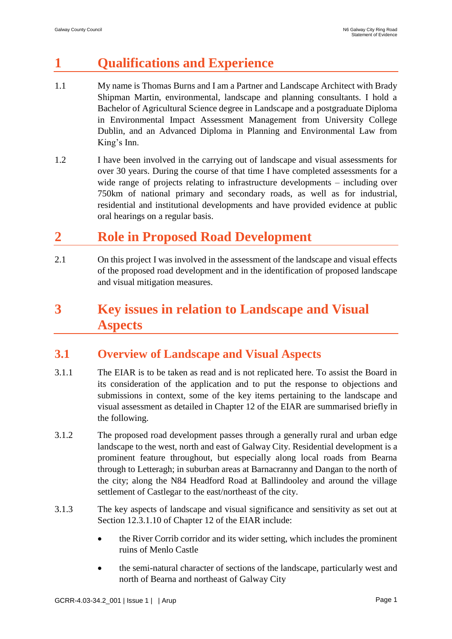# **1 Qualifications and Experience**

- 1.1 My name is Thomas Burns and I am a Partner and Landscape Architect with Brady Shipman Martin, environmental, landscape and planning consultants. I hold a Bachelor of Agricultural Science degree in Landscape and a postgraduate Diploma in Environmental Impact Assessment Management from University College Dublin, and an Advanced Diploma in Planning and Environmental Law from King's Inn.
- 1.2 I have been involved in the carrying out of landscape and visual assessments for over 30 years. During the course of that time I have completed assessments for a wide range of projects relating to infrastructure developments – including over 750km of national primary and secondary roads, as well as for industrial, residential and institutional developments and have provided evidence at public oral hearings on a regular basis.

# **2 Role in Proposed Road Development**

2.1 On this project I was involved in the assessment of the landscape and visual effects of the proposed road development and in the identification of proposed landscape and visual mitigation measures.

# **3 Key issues in relation to Landscape and Visual Aspects**

## **3.1 Overview of Landscape and Visual Aspects**

- 3.1.1 The EIAR is to be taken as read and is not replicated here. To assist the Board in its consideration of the application and to put the response to objections and submissions in context, some of the key items pertaining to the landscape and visual assessment as detailed in Chapter 12 of the EIAR are summarised briefly in the following.
- 3.1.2 The proposed road development passes through a generally rural and urban edge landscape to the west, north and east of Galway City. Residential development is a prominent feature throughout, but especially along local roads from Bearna through to Letteragh; in suburban areas at Barnacranny and Dangan to the north of the city; along the N84 Headford Road at Ballindooley and around the village settlement of Castlegar to the east/northeast of the city.
- 3.1.3 The key aspects of landscape and visual significance and sensitivity as set out at Section 12.3.1.10 of Chapter 12 of the EIAR include:
	- the River Corrib corridor and its wider setting, which includes the prominent ruins of Menlo Castle
	- the semi-natural character of sections of the landscape, particularly west and north of Bearna and northeast of Galway City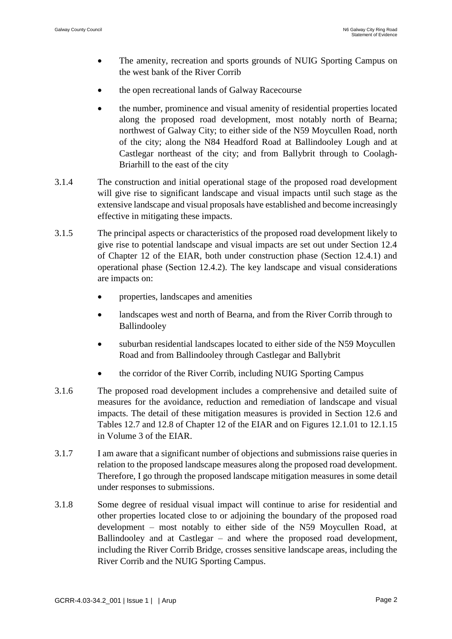- The amenity, recreation and sports grounds of NUIG Sporting Campus on the west bank of the River Corrib
- the open recreational lands of Galway Racecourse
- the number, prominence and visual amenity of residential properties located along the proposed road development, most notably north of Bearna; northwest of Galway City; to either side of the N59 Moycullen Road, north of the city; along the N84 Headford Road at Ballindooley Lough and at Castlegar northeast of the city; and from Ballybrit through to Coolagh-Briarhill to the east of the city
- 3.1.4 The construction and initial operational stage of the proposed road development will give rise to significant landscape and visual impacts until such stage as the extensive landscape and visual proposals have established and become increasingly effective in mitigating these impacts.
- 3.1.5 The principal aspects or characteristics of the proposed road development likely to give rise to potential landscape and visual impacts are set out under Section 12.4 of Chapter 12 of the EIAR, both under construction phase (Section 12.4.1) and operational phase (Section 12.4.2). The key landscape and visual considerations are impacts on:
	- properties, landscapes and amenities
	- landscapes west and north of Bearna, and from the River Corrib through to Ballindooley
	- suburban residential landscapes located to either side of the N59 Moycullen Road and from Ballindooley through Castlegar and Ballybrit
	- the corridor of the River Corrib, including NUIG Sporting Campus
- 3.1.6 The proposed road development includes a comprehensive and detailed suite of measures for the avoidance, reduction and remediation of landscape and visual impacts. The detail of these mitigation measures is provided in Section 12.6 and Tables 12.7 and 12.8 of Chapter 12 of the EIAR and on Figures 12.1.01 to 12.1.15 in Volume 3 of the EIAR.
- 3.1.7 I am aware that a significant number of objections and submissions raise queries in relation to the proposed landscape measures along the proposed road development. Therefore, I go through the proposed landscape mitigation measures in some detail under responses to submissions.
- 3.1.8 Some degree of residual visual impact will continue to arise for residential and other properties located close to or adjoining the boundary of the proposed road development – most notably to either side of the N59 Moycullen Road, at Ballindooley and at Castlegar – and where the proposed road development, including the River Corrib Bridge, crosses sensitive landscape areas, including the River Corrib and the NUIG Sporting Campus.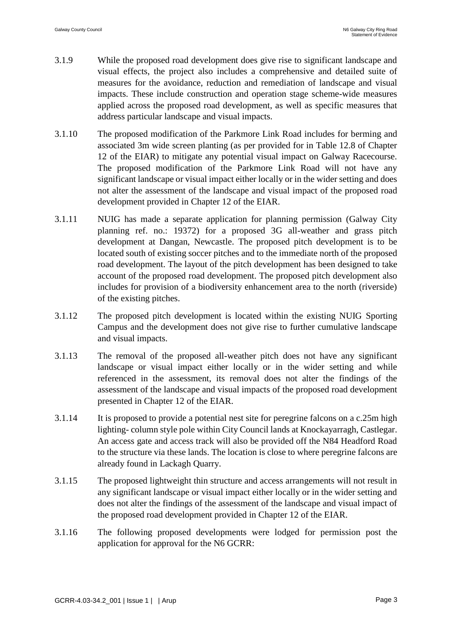- 3.1.9 While the proposed road development does give rise to significant landscape and visual effects, the project also includes a comprehensive and detailed suite of measures for the avoidance, reduction and remediation of landscape and visual impacts. These include construction and operation stage scheme-wide measures applied across the proposed road development, as well as specific measures that address particular landscape and visual impacts.
- 3.1.10 The proposed modification of the Parkmore Link Road includes for berming and associated 3m wide screen planting (as per provided for in Table 12.8 of Chapter 12 of the EIAR) to mitigate any potential visual impact on Galway Racecourse. The proposed modification of the Parkmore Link Road will not have any significant landscape or visual impact either locally or in the wider setting and does not alter the assessment of the landscape and visual impact of the proposed road development provided in Chapter 12 of the EIAR.
- 3.1.11 NUIG has made a separate application for planning permission (Galway City planning ref. no.: 19372) for a proposed 3G all-weather and grass pitch development at Dangan, Newcastle. The proposed pitch development is to be located south of existing soccer pitches and to the immediate north of the proposed road development. The layout of the pitch development has been designed to take account of the proposed road development. The proposed pitch development also includes for provision of a biodiversity enhancement area to the north (riverside) of the existing pitches.
- 3.1.12 The proposed pitch development is located within the existing NUIG Sporting Campus and the development does not give rise to further cumulative landscape and visual impacts.
- 3.1.13 The removal of the proposed all-weather pitch does not have any significant landscape or visual impact either locally or in the wider setting and while referenced in the assessment, its removal does not alter the findings of the assessment of the landscape and visual impacts of the proposed road development presented in Chapter 12 of the EIAR.
- 3.1.14 It is proposed to provide a potential nest site for peregrine falcons on a c.25m high lighting- column style pole within City Council lands at Knockayarragh, Castlegar. An access gate and access track will also be provided off the N84 Headford Road to the structure via these lands. The location is close to where peregrine falcons are already found in Lackagh Quarry.
- 3.1.15 The proposed lightweight thin structure and access arrangements will not result in any significant landscape or visual impact either locally or in the wider setting and does not alter the findings of the assessment of the landscape and visual impact of the proposed road development provided in Chapter 12 of the EIAR.
- 3.1.16 The following proposed developments were lodged for permission post the application for approval for the N6 GCRR: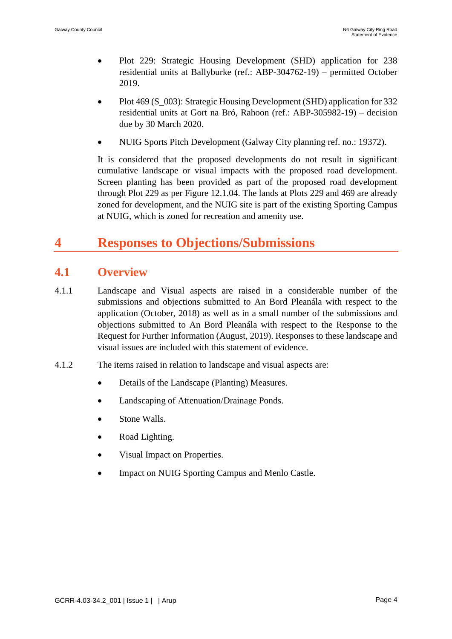- Plot 229: Strategic Housing Development (SHD) application for 238 residential units at Ballyburke (ref.: ABP-304762-19) – permitted October 2019.
- Plot 469 (S\_003): Strategic Housing Development (SHD) application for 332 residential units at Gort na Bró, Rahoon (ref.: ABP-305982-19) – decision due by 30 March 2020.
- NUIG Sports Pitch Development (Galway City planning ref. no.: 19372).

It is considered that the proposed developments do not result in significant cumulative landscape or visual impacts with the proposed road development. Screen planting has been provided as part of the proposed road development through Plot 229 as per Figure 12.1.04. The lands at Plots 229 and 469 are already zoned for development, and the NUIG site is part of the existing Sporting Campus at NUIG, which is zoned for recreation and amenity use.

# **4 Responses to Objections/Submissions**

### **4.1 Overview**

- 4.1.1 Landscape and Visual aspects are raised in a considerable number of the submissions and objections submitted to An Bord Pleanála with respect to the application (October, 2018) as well as in a small number of the submissions and objections submitted to An Bord Pleanála with respect to the Response to the Request for Further Information (August, 2019). Responses to these landscape and visual issues are included with this statement of evidence.
- 4.1.2 The items raised in relation to landscape and visual aspects are:
	- Details of the Landscape (Planting) Measures.
	- Landscaping of Attenuation/Drainage Ponds.
	- Stone Walls.
	- Road Lighting.
	- Visual Impact on Properties.
	- Impact on NUIG Sporting Campus and Menlo Castle.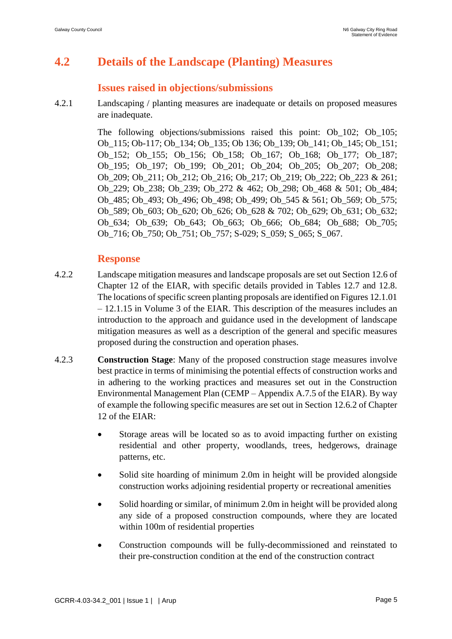# **4.2 Details of the Landscape (Planting) Measures**

### **Issues raised in objections/submissions**

4.2.1 Landscaping / planting measures are inadequate or details on proposed measures are inadequate.

> The following objections/submissions raised this point: Ob\_102; Ob\_105; Ob\_115; Ob-117; Ob\_134; Ob\_135; Ob 136; Ob\_139; Ob\_141; Ob\_145; Ob\_151; Ob\_152; Ob\_155; Ob\_156; Ob\_158; Ob\_167; Ob\_168; Ob\_177; Ob\_187; Ob\_195; Ob\_197; Ob\_199; Ob\_201; Ob\_204; Ob\_205; Ob\_207; Ob\_208; Ob\_209; Ob\_211; Ob\_212; Ob\_216; Ob\_217; Ob\_219; Ob\_222; Ob\_223 & 261; Ob\_229; Ob\_238; Ob\_239; Ob\_272 & 462; Ob\_298; Ob\_468 & 501; Ob\_484; Ob\_485; Ob\_493; Ob\_496; Ob\_498; Ob\_499; Ob\_545 & 561; Ob\_569; Ob\_575; Ob\_589; Ob\_603; Ob\_620; Ob\_626; Ob\_628 & 702; Ob\_629; Ob\_631; Ob\_632; Ob\_634; Ob\_639; Ob\_643; Ob\_663; Ob\_666; Ob\_684; Ob\_688; Ob\_705; Ob\_716; Ob\_750; Ob\_751; Ob\_757; S-029; S\_059; S\_065; S\_067.

#### **Response**

- 4.2.2 Landscape mitigation measures and landscape proposals are set out Section 12.6 of Chapter 12 of the EIAR, with specific details provided in Tables 12.7 and 12.8. The locations of specific screen planting proposals are identified on Figures 12.1.01 – 12.1.15 in Volume 3 of the EIAR. This description of the measures includes an introduction to the approach and guidance used in the development of landscape mitigation measures as well as a description of the general and specific measures proposed during the construction and operation phases.
- 4.2.3 **Construction Stage**: Many of the proposed construction stage measures involve best practice in terms of minimising the potential effects of construction works and in adhering to the working practices and measures set out in the Construction Environmental Management Plan (CEMP – Appendix A.7.5 of the EIAR). By way of example the following specific measures are set out in Section 12.6.2 of Chapter 12 of the EIAR:
	- Storage areas will be located so as to avoid impacting further on existing residential and other property, woodlands, trees, hedgerows, drainage patterns, etc.
	- Solid site hoarding of minimum 2.0m in height will be provided alongside construction works adjoining residential property or recreational amenities
	- Solid hoarding or similar, of minimum 2.0m in height will be provided along any side of a proposed construction compounds, where they are located within 100m of residential properties
	- Construction compounds will be fully-decommissioned and reinstated to their pre-construction condition at the end of the construction contract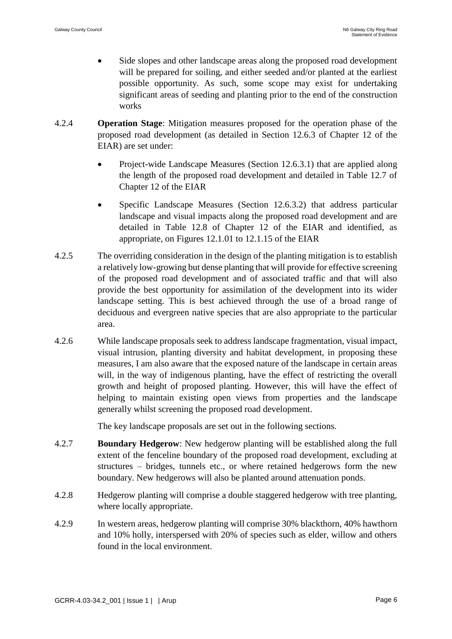- Side slopes and other landscape areas along the proposed road development will be prepared for soiling, and either seeded and/or planted at the earliest possible opportunity. As such, some scope may exist for undertaking significant areas of seeding and planting prior to the end of the construction works
- 4.2.4 **Operation Stage**: Mitigation measures proposed for the operation phase of the proposed road development (as detailed in Section 12.6.3 of Chapter 12 of the EIAR) are set under:
	- Project-wide Landscape Measures (Section 12.6.3.1) that are applied along the length of the proposed road development and detailed in Table 12.7 of Chapter 12 of the EIAR
	- Specific Landscape Measures (Section 12.6.3.2) that address particular landscape and visual impacts along the proposed road development and are detailed in Table 12.8 of Chapter 12 of the EIAR and identified, as appropriate, on Figures 12.1.01 to 12.1.15 of the EIAR
- 4.2.5 The overriding consideration in the design of the planting mitigation is to establish a relatively low-growing but dense planting that will provide for effective screening of the proposed road development and of associated traffic and that will also provide the best opportunity for assimilation of the development into its wider landscape setting. This is best achieved through the use of a broad range of deciduous and evergreen native species that are also appropriate to the particular area.
- 4.2.6 While landscape proposals seek to address landscape fragmentation, visual impact, visual intrusion, planting diversity and habitat development, in proposing these measures, I am also aware that the exposed nature of the landscape in certain areas will, in the way of indigenous planting, have the effect of restricting the overall growth and height of proposed planting. However, this will have the effect of helping to maintain existing open views from properties and the landscape generally whilst screening the proposed road development.

The key landscape proposals are set out in the following sections.

- 4.2.7 **Boundary Hedgerow**: New hedgerow planting will be established along the full extent of the fenceline boundary of the proposed road development, excluding at structures – bridges, tunnels etc., or where retained hedgerows form the new boundary. New hedgerows will also be planted around attenuation ponds.
- 4.2.8 Hedgerow planting will comprise a double staggered hedgerow with tree planting, where locally appropriate.
- 4.2.9 In western areas, hedgerow planting will comprise 30% blackthorn, 40% hawthorn and 10% holly, interspersed with 20% of species such as elder, willow and others found in the local environment.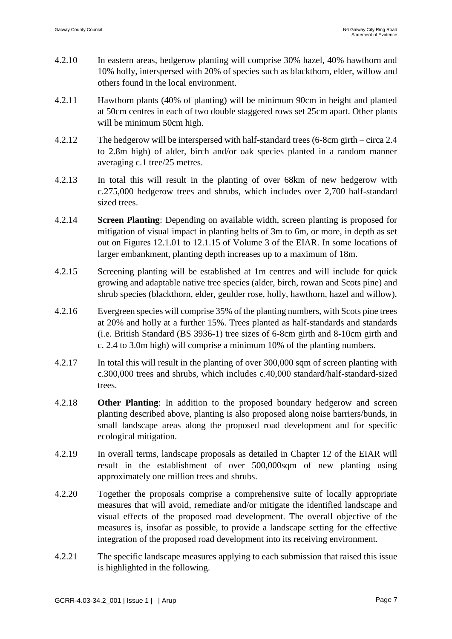- 4.2.10 In eastern areas, hedgerow planting will comprise 30% hazel, 40% hawthorn and 10% holly, interspersed with 20% of species such as blackthorn, elder, willow and others found in the local environment.
- 4.2.11 Hawthorn plants (40% of planting) will be minimum 90cm in height and planted at 50cm centres in each of two double staggered rows set 25cm apart. Other plants will be minimum 50cm high.
- 4.2.12 The hedgerow will be interspersed with half-standard trees (6-8cm girth circa 2.4 to 2.8m high) of alder, birch and/or oak species planted in a random manner averaging c.1 tree/25 metres.
- 4.2.13 In total this will result in the planting of over 68km of new hedgerow with c.275,000 hedgerow trees and shrubs, which includes over 2,700 half-standard sized trees.
- 4.2.14 **Screen Planting**: Depending on available width, screen planting is proposed for mitigation of visual impact in planting belts of 3m to 6m, or more, in depth as set out on Figures 12.1.01 to 12.1.15 of Volume 3 of the EIAR. In some locations of larger embankment, planting depth increases up to a maximum of 18m.
- 4.2.15 Screening planting will be established at 1m centres and will include for quick growing and adaptable native tree species (alder, birch, rowan and Scots pine) and shrub species (blackthorn, elder, geulder rose, holly, hawthorn, hazel and willow).
- 4.2.16 Evergreen species will comprise 35% of the planting numbers, with Scots pine trees at 20% and holly at a further 15%. Trees planted as half-standards and standards (i.e. British Standard (BS 3936-1) tree sizes of 6-8cm girth and 8-10cm girth and c. 2.4 to 3.0m high) will comprise a minimum 10% of the planting numbers.
- 4.2.17 In total this will result in the planting of over 300,000 sqm of screen planting with c.300,000 trees and shrubs, which includes c.40,000 standard/half-standard-sized trees.
- 4.2.18 **Other Planting**: In addition to the proposed boundary hedgerow and screen planting described above, planting is also proposed along noise barriers/bunds, in small landscape areas along the proposed road development and for specific ecological mitigation.
- 4.2.19 In overall terms, landscape proposals as detailed in Chapter 12 of the EIAR will result in the establishment of over 500,000sqm of new planting using approximately one million trees and shrubs.
- 4.2.20 Together the proposals comprise a comprehensive suite of locally appropriate measures that will avoid, remediate and/or mitigate the identified landscape and visual effects of the proposed road development. The overall objective of the measures is, insofar as possible, to provide a landscape setting for the effective integration of the proposed road development into its receiving environment.
- 4.2.21 The specific landscape measures applying to each submission that raised this issue is highlighted in the following.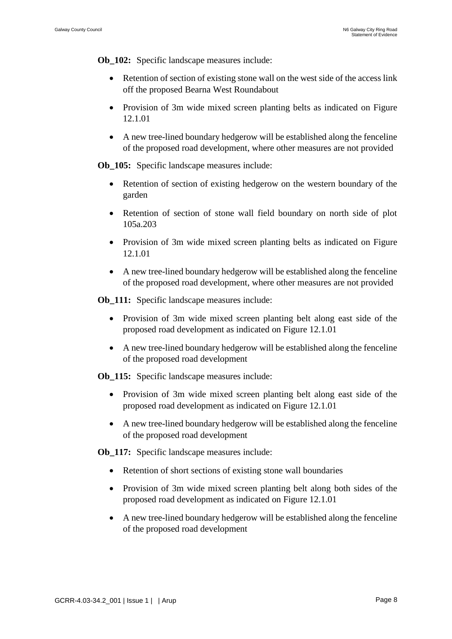**Ob\_102:** Specific landscape measures include:

- Retention of section of existing stone wall on the west side of the access link off the proposed Bearna West Roundabout
- Provision of 3m wide mixed screen planting belts as indicated on Figure 12.1.01
- A new tree-lined boundary hedgerow will be established along the fenceline of the proposed road development, where other measures are not provided

**Ob\_105:** Specific landscape measures include:

- Retention of section of existing hedgerow on the western boundary of the garden
- Retention of section of stone wall field boundary on north side of plot 105a.203
- Provision of 3m wide mixed screen planting belts as indicated on Figure 12.1.01
- A new tree-lined boundary hedgerow will be established along the fenceline of the proposed road development, where other measures are not provided

**Ob\_111:** Specific landscape measures include:

- Provision of 3m wide mixed screen planting belt along east side of the proposed road development as indicated on Figure 12.1.01
- A new tree-lined boundary hedgerow will be established along the fenceline of the proposed road development

**Ob\_115:** Specific landscape measures include:

- Provision of 3m wide mixed screen planting belt along east side of the proposed road development as indicated on Figure 12.1.01
- A new tree-lined boundary hedgerow will be established along the fenceline of the proposed road development

**Ob\_117:** Specific landscape measures include:

- Retention of short sections of existing stone wall boundaries
- Provision of 3m wide mixed screen planting belt along both sides of the proposed road development as indicated on Figure 12.1.01
- A new tree-lined boundary hedgerow will be established along the fenceline of the proposed road development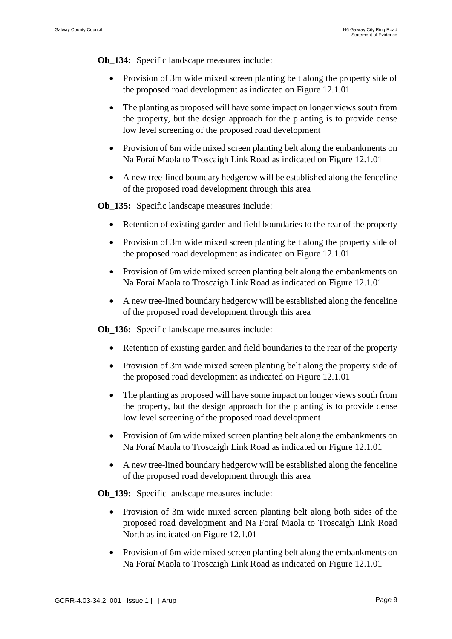**Ob\_134:** Specific landscape measures include:

- Provision of 3m wide mixed screen planting belt along the property side of the proposed road development as indicated on Figure 12.1.01
- The planting as proposed will have some impact on longer views south from the property, but the design approach for the planting is to provide dense low level screening of the proposed road development
- Provision of 6m wide mixed screen planting belt along the embankments on Na Foraí Maola to Troscaigh Link Road as indicated on Figure 12.1.01
- A new tree-lined boundary hedgerow will be established along the fenceline of the proposed road development through this area

**Ob\_135:** Specific landscape measures include:

- Retention of existing garden and field boundaries to the rear of the property
- Provision of 3m wide mixed screen planting belt along the property side of the proposed road development as indicated on Figure 12.1.01
- Provision of 6m wide mixed screen planting belt along the embankments on Na Foraí Maola to Troscaigh Link Road as indicated on Figure 12.1.01
- A new tree-lined boundary hedgerow will be established along the fenceline of the proposed road development through this area

**Ob** 136: Specific landscape measures include:

- Retention of existing garden and field boundaries to the rear of the property
- Provision of 3m wide mixed screen planting belt along the property side of the proposed road development as indicated on Figure 12.1.01
- The planting as proposed will have some impact on longer views south from the property, but the design approach for the planting is to provide dense low level screening of the proposed road development
- Provision of 6m wide mixed screen planting belt along the embankments on Na Foraí Maola to Troscaigh Link Road as indicated on Figure 12.1.01
- A new tree-lined boundary hedgerow will be established along the fenceline of the proposed road development through this area

**Ob\_139:** Specific landscape measures include:

- Provision of 3m wide mixed screen planting belt along both sides of the proposed road development and Na Foraí Maola to Troscaigh Link Road North as indicated on Figure 12.1.01
- Provision of 6m wide mixed screen planting belt along the embankments on Na Foraí Maola to Troscaigh Link Road as indicated on Figure 12.1.01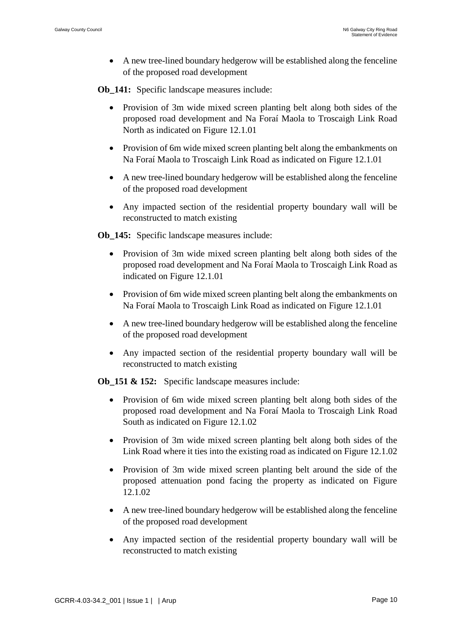• A new tree-lined boundary hedgerow will be established along the fenceline of the proposed road development

**Ob\_141:** Specific landscape measures include:

- Provision of 3m wide mixed screen planting belt along both sides of the proposed road development and Na Foraí Maola to Troscaigh Link Road North as indicated on Figure 12.1.01
- Provision of 6m wide mixed screen planting belt along the embankments on Na Foraí Maola to Troscaigh Link Road as indicated on Figure 12.1.01
- A new tree-lined boundary hedgerow will be established along the fenceline of the proposed road development
- Any impacted section of the residential property boundary wall will be reconstructed to match existing

**Ob\_145:** Specific landscape measures include:

- Provision of 3m wide mixed screen planting belt along both sides of the proposed road development and Na Foraí Maola to Troscaigh Link Road as indicated on Figure 12.1.01
- Provision of 6m wide mixed screen planting belt along the embankments on Na Foraí Maola to Troscaigh Link Road as indicated on Figure 12.1.01
- A new tree-lined boundary hedgerow will be established along the fenceline of the proposed road development
- Any impacted section of the residential property boundary wall will be reconstructed to match existing

**Ob\_151 & 152:** Specific landscape measures include:

- Provision of 6m wide mixed screen planting belt along both sides of the proposed road development and Na Foraí Maola to Troscaigh Link Road South as indicated on Figure 12.1.02
- Provision of 3m wide mixed screen planting belt along both sides of the Link Road where it ties into the existing road as indicated on Figure 12.1.02
- Provision of 3m wide mixed screen planting belt around the side of the proposed attenuation pond facing the property as indicated on Figure 12.1.02
- A new tree-lined boundary hedgerow will be established along the fenceline of the proposed road development
- Any impacted section of the residential property boundary wall will be reconstructed to match existing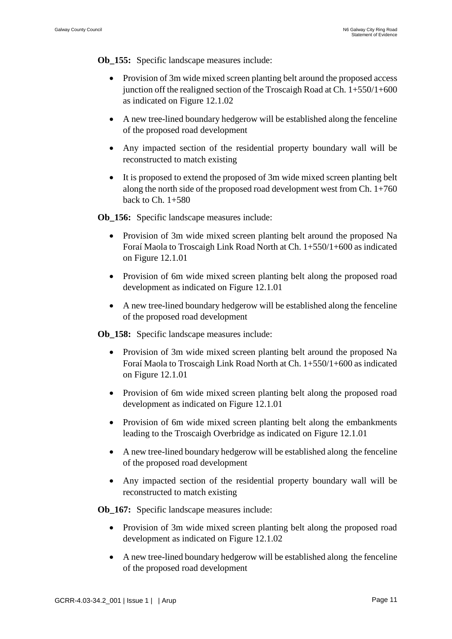**Ob\_155:** Specific landscape measures include:

- Provision of 3m wide mixed screen planting belt around the proposed access junction off the realigned section of the Troscaigh Road at  $Ch. 1+550/1+600$ as indicated on Figure 12.1.02
- A new tree-lined boundary hedgerow will be established along the fenceline of the proposed road development
- Any impacted section of the residential property boundary wall will be reconstructed to match existing
- It is proposed to extend the proposed of 3m wide mixed screen planting belt along the north side of the proposed road development west from Ch. 1+760 back to Ch.  $1+580$

**Ob\_156:** Specific landscape measures include:

- Provision of 3m wide mixed screen planting belt around the proposed Na Foraí Maola to Troscaigh Link Road North at Ch. 1+550/1+600 as indicated on Figure 12.1.01
- Provision of 6m wide mixed screen planting belt along the proposed road development as indicated on Figure 12.1.01
- A new tree-lined boundary hedgerow will be established along the fenceline of the proposed road development

**Ob** 158: Specific landscape measures include:

- Provision of 3m wide mixed screen planting belt around the proposed Na Foraí Maola to Troscaigh Link Road North at Ch. 1+550/1+600 as indicated on Figure 12.1.01
- Provision of 6m wide mixed screen planting belt along the proposed road development as indicated on Figure 12.1.01
- Provision of 6m wide mixed screen planting belt along the embankments leading to the Troscaigh Overbridge as indicated on Figure 12.1.01
- A new tree-lined boundary hedgerow will be established along the fenceline of the proposed road development
- Any impacted section of the residential property boundary wall will be reconstructed to match existing

**Ob\_167:** Specific landscape measures include:

- Provision of 3m wide mixed screen planting belt along the proposed road development as indicated on Figure 12.1.02
- A new tree-lined boundary hedgerow will be established along the fenceline of the proposed road development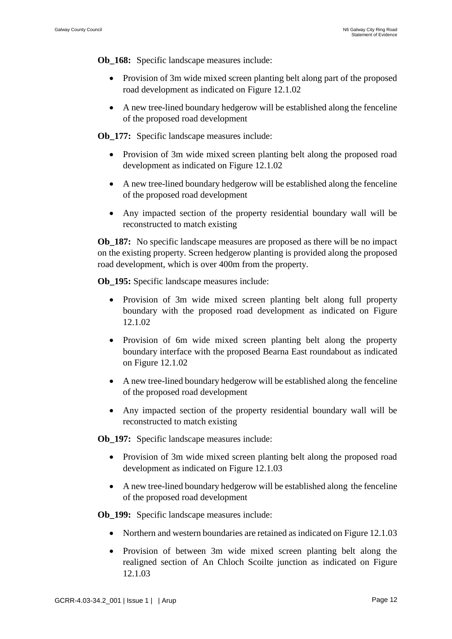**Ob\_168:** Specific landscape measures include:

- Provision of 3m wide mixed screen planting belt along part of the proposed road development as indicated on Figure 12.1.02
- A new tree-lined boundary hedgerow will be established along the fenceline of the proposed road development

**Ob\_177:** Specific landscape measures include:

- Provision of 3m wide mixed screen planting belt along the proposed road development as indicated on Figure 12.1.02
- A new tree-lined boundary hedgerow will be established along the fenceline of the proposed road development
- Any impacted section of the property residential boundary wall will be reconstructed to match existing

**Ob\_187:** No specific landscape measures are proposed as there will be no impact on the existing property. Screen hedgerow planting is provided along the proposed road development, which is over 400m from the property.

**Ob\_195:** Specific landscape measures include:

- Provision of 3m wide mixed screen planting belt along full property boundary with the proposed road development as indicated on Figure 12.1.02
- Provision of 6m wide mixed screen planting belt along the property boundary interface with the proposed Bearna East roundabout as indicated on Figure 12.1.02
- A new tree-lined boundary hedgerow will be established along the fenceline of the proposed road development
- Any impacted section of the property residential boundary wall will be reconstructed to match existing

**Ob\_197:** Specific landscape measures include:

- Provision of 3m wide mixed screen planting belt along the proposed road development as indicated on Figure 12.1.03
- A new tree-lined boundary hedgerow will be established along the fenceline of the proposed road development

**Ob\_199:** Specific landscape measures include:

- Northern and western boundaries are retained as indicated on Figure 12.1.03
- Provision of between 3m wide mixed screen planting belt along the realigned section of An Chloch Scoilte junction as indicated on Figure 12.1.03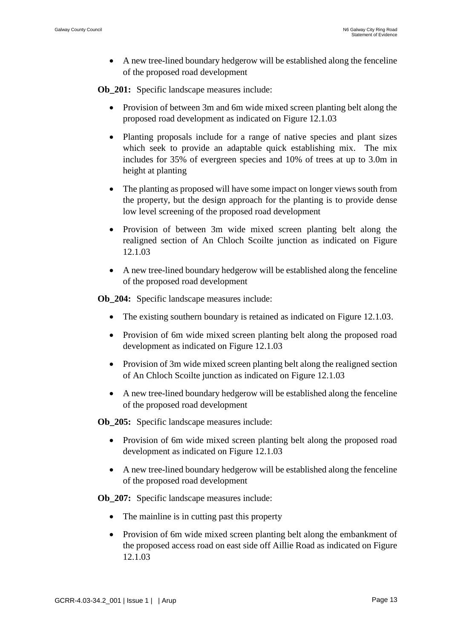• A new tree-lined boundary hedgerow will be established along the fenceline of the proposed road development

**Ob** 201: Specific landscape measures include:

- Provision of between 3m and 6m wide mixed screen planting belt along the proposed road development as indicated on Figure 12.1.03
- Planting proposals include for a range of native species and plant sizes which seek to provide an adaptable quick establishing mix. The mix includes for 35% of evergreen species and 10% of trees at up to 3.0m in height at planting
- The planting as proposed will have some impact on longer views south from the property, but the design approach for the planting is to provide dense low level screening of the proposed road development
- Provision of between 3m wide mixed screen planting belt along the realigned section of An Chloch Scoilte junction as indicated on Figure 12.1.03
- A new tree-lined boundary hedgerow will be established along the fenceline of the proposed road development

**Ob\_204:** Specific landscape measures include:

- The existing southern boundary is retained as indicated on Figure 12.1.03.
- Provision of 6m wide mixed screen planting belt along the proposed road development as indicated on Figure 12.1.03
- Provision of 3m wide mixed screen planting belt along the realigned section of An Chloch Scoilte junction as indicated on Figure 12.1.03
- A new tree-lined boundary hedgerow will be established along the fenceline of the proposed road development

**Ob\_205:** Specific landscape measures include:

- Provision of 6m wide mixed screen planting belt along the proposed road development as indicated on Figure 12.1.03
- A new tree-lined boundary hedgerow will be established along the fenceline of the proposed road development

**Ob\_207:** Specific landscape measures include:

- The mainline is in cutting past this property
- Provision of 6m wide mixed screen planting belt along the embankment of the proposed access road on east side off Aillie Road as indicated on Figure 12.1.03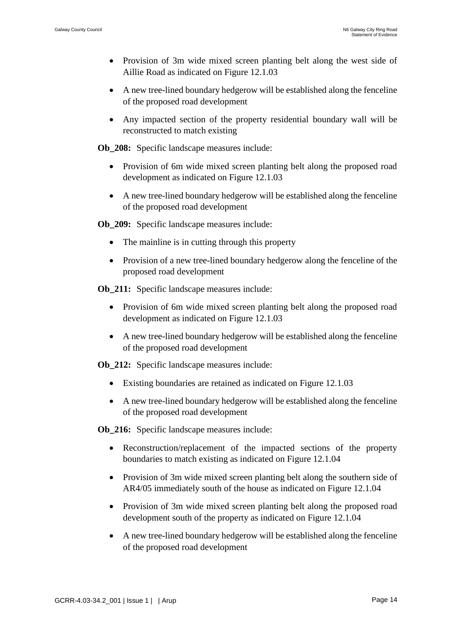- Provision of 3m wide mixed screen planting belt along the west side of Aillie Road as indicated on Figure 12.1.03
- A new tree-lined boundary hedgerow will be established along the fenceline of the proposed road development
- Any impacted section of the property residential boundary wall will be reconstructed to match existing

**Ob\_208:** Specific landscape measures include:

- Provision of 6m wide mixed screen planting belt along the proposed road development as indicated on Figure 12.1.03
- A new tree-lined boundary hedgerow will be established along the fenceline of the proposed road development

**Ob\_209:** Specific landscape measures include:

- The mainline is in cutting through this property
- Provision of a new tree-lined boundary hedgerow along the fenceline of the proposed road development

**Ob\_211:** Specific landscape measures include:

- Provision of 6m wide mixed screen planting belt along the proposed road development as indicated on Figure 12.1.03
- A new tree-lined boundary hedgerow will be established along the fenceline of the proposed road development

**Ob\_212:** Specific landscape measures include:

- Existing boundaries are retained as indicated on Figure 12.1.03
- A new tree-lined boundary hedgerow will be established along the fenceline of the proposed road development

**Ob\_216:** Specific landscape measures include:

- Reconstruction/replacement of the impacted sections of the property boundaries to match existing as indicated on Figure 12.1.04
- Provision of 3m wide mixed screen planting belt along the southern side of AR4/05 immediately south of the house as indicated on Figure 12.1.04
- Provision of 3m wide mixed screen planting belt along the proposed road development south of the property as indicated on Figure 12.1.04
- A new tree-lined boundary hedgerow will be established along the fenceline of the proposed road development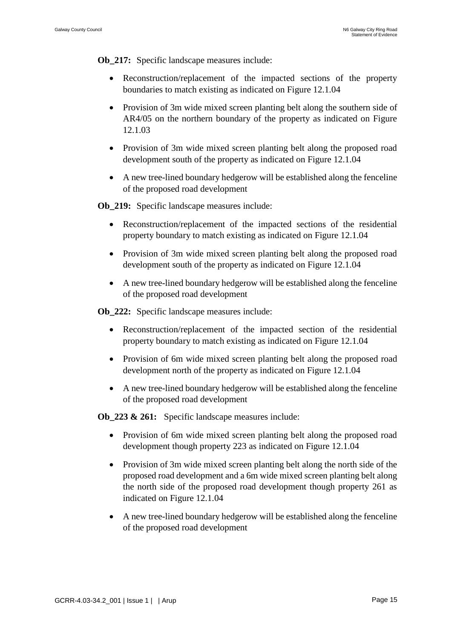**Ob\_217:** Specific landscape measures include:

- Reconstruction/replacement of the impacted sections of the property boundaries to match existing as indicated on Figure 12.1.04
- Provision of 3m wide mixed screen planting belt along the southern side of AR4/05 on the northern boundary of the property as indicated on Figure 12.1.03
- Provision of 3m wide mixed screen planting belt along the proposed road development south of the property as indicated on Figure 12.1.04
- A new tree-lined boundary hedgerow will be established along the fenceline of the proposed road development

**Ob\_219:** Specific landscape measures include:

- Reconstruction/replacement of the impacted sections of the residential property boundary to match existing as indicated on Figure 12.1.04
- Provision of 3m wide mixed screen planting belt along the proposed road development south of the property as indicated on Figure 12.1.04
- A new tree-lined boundary hedgerow will be established along the fenceline of the proposed road development

**Ob\_222:** Specific landscape measures include:

- Reconstruction/replacement of the impacted section of the residential property boundary to match existing as indicated on Figure 12.1.04
- Provision of 6m wide mixed screen planting belt along the proposed road development north of the property as indicated on Figure 12.1.04
- A new tree-lined boundary hedgerow will be established along the fenceline of the proposed road development

**Ob\_223 & 261:** Specific landscape measures include:

- Provision of 6m wide mixed screen planting belt along the proposed road development though property 223 as indicated on Figure 12.1.04
- Provision of 3m wide mixed screen planting belt along the north side of the proposed road development and a 6m wide mixed screen planting belt along the north side of the proposed road development though property 261 as indicated on Figure 12.1.04
- A new tree-lined boundary hedgerow will be established along the fenceline of the proposed road development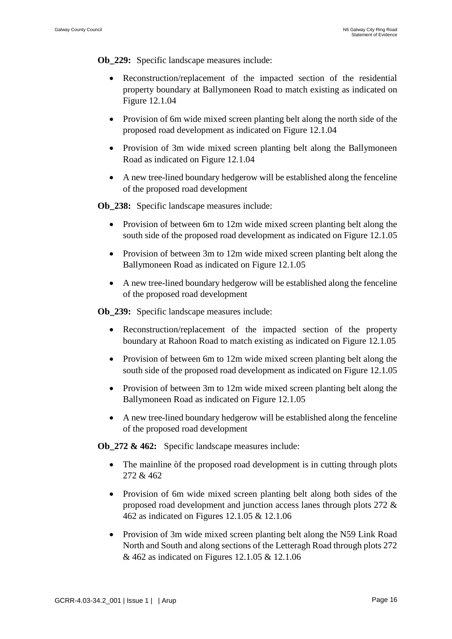**Ob\_229:** Specific landscape measures include:

- Reconstruction/replacement of the impacted section of the residential property boundary at Ballymoneen Road to match existing as indicated on Figure 12.1.04
- Provision of 6m wide mixed screen planting belt along the north side of the proposed road development as indicated on Figure 12.1.04
- Provision of 3m wide mixed screen planting belt along the Ballymoneen Road as indicated on Figure 12.1.04
- A new tree-lined boundary hedgerow will be established along the fenceline of the proposed road development

**Ob\_238:** Specific landscape measures include:

- Provision of between 6m to 12m wide mixed screen planting belt along the south side of the proposed road development as indicated on Figure 12.1.05
- Provision of between 3m to 12m wide mixed screen planting belt along the Ballymoneen Road as indicated on Figure 12.1.05
- A new tree-lined boundary hedgerow will be established along the fenceline of the proposed road development

**Ob\_239:** Specific landscape measures include:

- Reconstruction/replacement of the impacted section of the property boundary at Rahoon Road to match existing as indicated on Figure 12.1.05
- Provision of between 6m to 12m wide mixed screen planting belt along the south side of the proposed road development as indicated on Figure 12.1.05
- Provision of between 3m to 12m wide mixed screen planting belt along the Ballymoneen Road as indicated on Figure 12.1.05
- A new tree-lined boundary hedgerow will be established along the fenceline of the proposed road development

**Ob\_272 & 462:** Specific landscape measures include:

- The mainline of the proposed road development is in cutting through plots 272 & 462
- Provision of 6m wide mixed screen planting belt along both sides of the proposed road development and junction access lanes through plots 272 & 462 as indicated on Figures 12.1.05 & 12.1.06
- Provision of 3m wide mixed screen planting belt along the N59 Link Road North and South and along sections of the Letteragh Road through plots 272 & 462 as indicated on Figures 12.1.05 & 12.1.06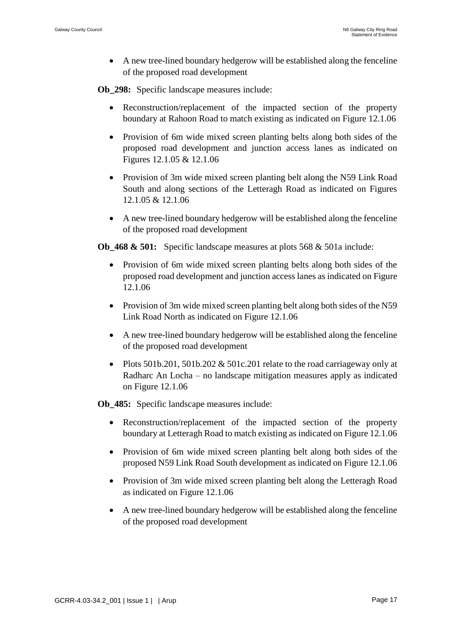• A new tree-lined boundary hedgerow will be established along the fenceline of the proposed road development

**Ob\_298:** Specific landscape measures include:

- Reconstruction/replacement of the impacted section of the property boundary at Rahoon Road to match existing as indicated on Figure 12.1.06
- Provision of 6m wide mixed screen planting belts along both sides of the proposed road development and junction access lanes as indicated on Figures 12.1.05 & 12.1.06
- Provision of 3m wide mixed screen planting belt along the N59 Link Road South and along sections of the Letteragh Road as indicated on Figures 12.1.05 & 12.1.06
- A new tree-lined boundary hedgerow will be established along the fenceline of the proposed road development

**Ob\_468 & 501:** Specific landscape measures at plots 568 & 501a include:

- Provision of 6m wide mixed screen planting belts along both sides of the proposed road development and junction access lanes as indicated on Figure 12.1.06
- Provision of 3m wide mixed screen planting belt along both sides of the N59 Link Road North as indicated on Figure 12.1.06
- A new tree-lined boundary hedgerow will be established along the fenceline of the proposed road development
- Plots 501b.201, 501b.202  $&$  501c.201 relate to the road carriageway only at Radharc An Locha – no landscape mitigation measures apply as indicated on Figure 12.1.06

**Ob\_485:** Specific landscape measures include:

- Reconstruction/replacement of the impacted section of the property boundary at Letteragh Road to match existing as indicated on Figure 12.1.06
- Provision of 6m wide mixed screen planting belt along both sides of the proposed N59 Link Road South development as indicated on Figure 12.1.06
- Provision of 3m wide mixed screen planting belt along the Letteragh Road as indicated on Figure 12.1.06
- A new tree-lined boundary hedgerow will be established along the fenceline of the proposed road development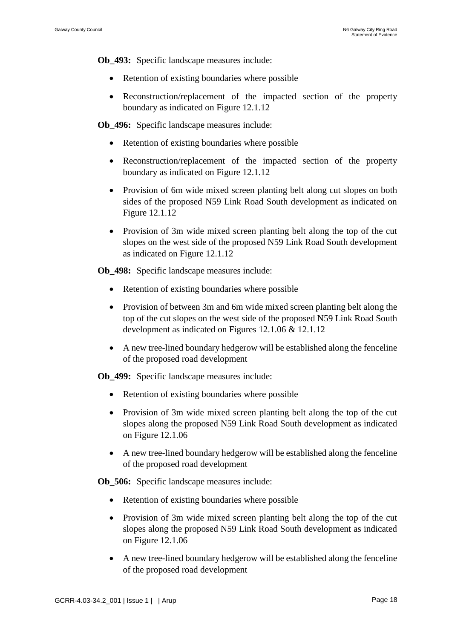**Ob\_493:** Specific landscape measures include:

- Retention of existing boundaries where possible
- Reconstruction/replacement of the impacted section of the property boundary as indicated on Figure 12.1.12

**Ob\_496:** Specific landscape measures include:

- Retention of existing boundaries where possible
- Reconstruction/replacement of the impacted section of the property boundary as indicated on Figure 12.1.12
- Provision of 6m wide mixed screen planting belt along cut slopes on both sides of the proposed N59 Link Road South development as indicated on Figure 12.1.12
- Provision of 3m wide mixed screen planting belt along the top of the cut slopes on the west side of the proposed N59 Link Road South development as indicated on Figure 12.1.12

**Ob\_498:** Specific landscape measures include:

- Retention of existing boundaries where possible
- Provision of between 3m and 6m wide mixed screen planting belt along the top of the cut slopes on the west side of the proposed N59 Link Road South development as indicated on Figures 12.1.06 & 12.1.12
- A new tree-lined boundary hedgerow will be established along the fenceline of the proposed road development

**Ob\_499:** Specific landscape measures include:

- Retention of existing boundaries where possible
- Provision of 3m wide mixed screen planting belt along the top of the cut slopes along the proposed N59 Link Road South development as indicated on Figure 12.1.06
- A new tree-lined boundary hedgerow will be established along the fenceline of the proposed road development

**Ob\_506:** Specific landscape measures include:

- Retention of existing boundaries where possible
- Provision of 3m wide mixed screen planting belt along the top of the cut slopes along the proposed N59 Link Road South development as indicated on Figure 12.1.06
- A new tree-lined boundary hedgerow will be established along the fenceline of the proposed road development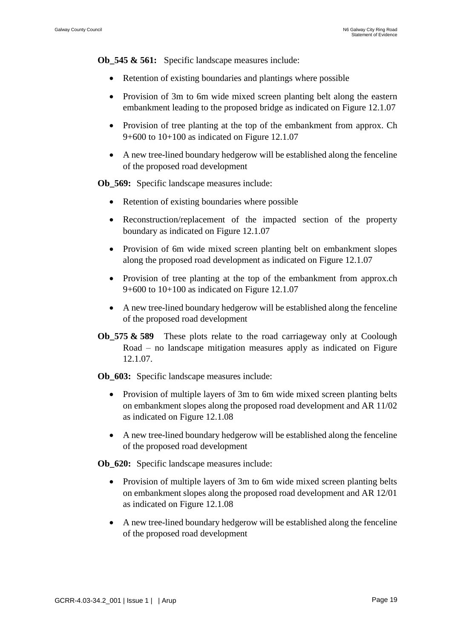**Ob\_545 & 561:** Specific landscape measures include:

- Retention of existing boundaries and plantings where possible
- Provision of 3m to 6m wide mixed screen planting belt along the eastern embankment leading to the proposed bridge as indicated on Figure 12.1.07
- Provision of tree planting at the top of the embankment from approx. Ch 9+600 to 10+100 as indicated on Figure 12.1.07
- A new tree-lined boundary hedgerow will be established along the fenceline of the proposed road development

**Ob\_569:** Specific landscape measures include:

- Retention of existing boundaries where possible
- Reconstruction/replacement of the impacted section of the property boundary as indicated on Figure 12.1.07
- Provision of 6m wide mixed screen planting belt on embankment slopes along the proposed road development as indicated on Figure 12.1.07
- Provision of tree planting at the top of the embankment from approx.ch 9+600 to 10+100 as indicated on Figure 12.1.07
- A new tree-lined boundary hedgerow will be established along the fenceline of the proposed road development
- **Ob 575 & 589** These plots relate to the road carriageway only at Coolough Road – no landscape mitigation measures apply as indicated on Figure 12.1.07.

**Ob\_603:** Specific landscape measures include:

- Provision of multiple layers of 3m to 6m wide mixed screen planting belts on embankment slopes along the proposed road development and AR 11/02 as indicated on Figure 12.1.08
- A new tree-lined boundary hedgerow will be established along the fenceline of the proposed road development

**Ob\_620:** Specific landscape measures include:

- Provision of multiple layers of 3m to 6m wide mixed screen planting belts on embankment slopes along the proposed road development and AR 12/01 as indicated on Figure 12.1.08
- A new tree-lined boundary hedgerow will be established along the fenceline of the proposed road development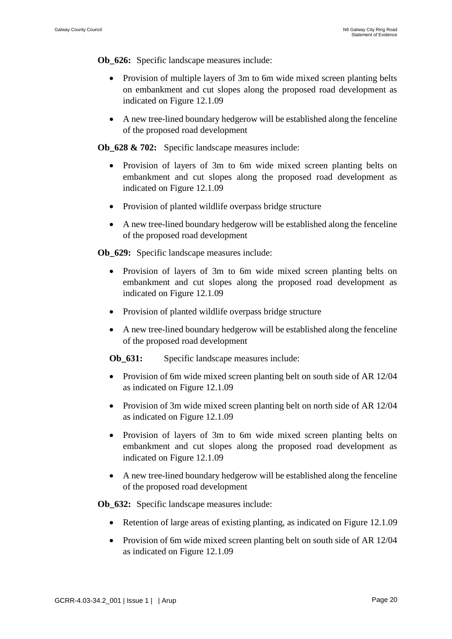**Ob\_626:** Specific landscape measures include:

- Provision of multiple layers of 3m to 6m wide mixed screen planting belts on embankment and cut slopes along the proposed road development as indicated on Figure 12.1.09
- A new tree-lined boundary hedgerow will be established along the fenceline of the proposed road development

**Ob\_628 & 702:** Specific landscape measures include:

- Provision of layers of 3m to 6m wide mixed screen planting belts on embankment and cut slopes along the proposed road development as indicated on Figure 12.1.09
- Provision of planted wildlife overpass bridge structure
- A new tree-lined boundary hedgerow will be established along the fenceline of the proposed road development

**Ob\_629:** Specific landscape measures include:

- Provision of layers of 3m to 6m wide mixed screen planting belts on embankment and cut slopes along the proposed road development as indicated on Figure 12.1.09
- Provision of planted wildlife overpass bridge structure
- A new tree-lined boundary hedgerow will be established along the fenceline of the proposed road development

**Ob\_631:** Specific landscape measures include:

- Provision of 6m wide mixed screen planting belt on south side of AR 12/04 as indicated on Figure 12.1.09
- Provision of 3m wide mixed screen planting belt on north side of AR 12/04 as indicated on Figure 12.1.09
- Provision of layers of 3m to 6m wide mixed screen planting belts on embankment and cut slopes along the proposed road development as indicated on Figure 12.1.09
- A new tree-lined boundary hedgerow will be established along the fenceline of the proposed road development

**Ob\_632:** Specific landscape measures include:

- Retention of large areas of existing planting, as indicated on Figure 12.1.09
- Provision of 6m wide mixed screen planting belt on south side of AR 12/04 as indicated on Figure 12.1.09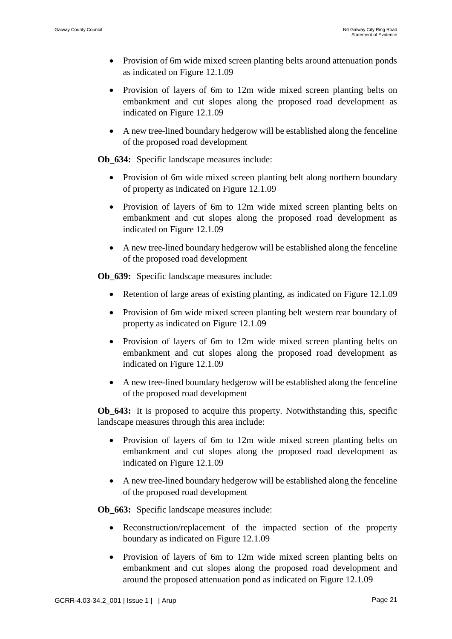- Provision of 6m wide mixed screen planting belts around attenuation ponds as indicated on Figure 12.1.09
- Provision of layers of 6m to 12m wide mixed screen planting belts on embankment and cut slopes along the proposed road development as indicated on Figure 12.1.09
- A new tree-lined boundary hedgerow will be established along the fenceline of the proposed road development

**Ob\_634:** Specific landscape measures include:

- Provision of 6m wide mixed screen planting belt along northern boundary of property as indicated on Figure 12.1.09
- Provision of layers of 6m to 12m wide mixed screen planting belts on embankment and cut slopes along the proposed road development as indicated on Figure 12.1.09
- A new tree-lined boundary hedgerow will be established along the fenceline of the proposed road development

**Ob\_639:** Specific landscape measures include:

- Retention of large areas of existing planting, as indicated on Figure 12.1.09
- Provision of 6m wide mixed screen planting belt western rear boundary of property as indicated on Figure 12.1.09
- Provision of layers of 6m to 12m wide mixed screen planting belts on embankment and cut slopes along the proposed road development as indicated on Figure 12.1.09
- A new tree-lined boundary hedgerow will be established along the fenceline of the proposed road development

**Ob 643:** It is proposed to acquire this property. Notwithstanding this, specific landscape measures through this area include:

- Provision of layers of 6m to 12m wide mixed screen planting belts on embankment and cut slopes along the proposed road development as indicated on Figure 12.1.09
- A new tree-lined boundary hedgerow will be established along the fenceline of the proposed road development

**Ob\_663:** Specific landscape measures include:

- Reconstruction/replacement of the impacted section of the property boundary as indicated on Figure 12.1.09
- Provision of layers of 6m to 12m wide mixed screen planting belts on embankment and cut slopes along the proposed road development and around the proposed attenuation pond as indicated on Figure 12.1.09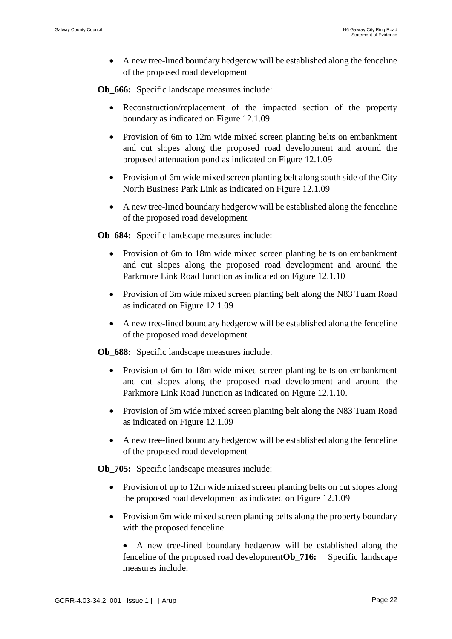• A new tree-lined boundary hedgerow will be established along the fenceline of the proposed road development

**Ob\_666:** Specific landscape measures include:

- Reconstruction/replacement of the impacted section of the property boundary as indicated on Figure 12.1.09
- Provision of 6m to 12m wide mixed screen planting belts on embankment and cut slopes along the proposed road development and around the proposed attenuation pond as indicated on Figure 12.1.09
- Provision of 6m wide mixed screen planting belt along south side of the City North Business Park Link as indicated on Figure 12.1.09
- A new tree-lined boundary hedgerow will be established along the fenceline of the proposed road development

**Ob\_684:** Specific landscape measures include:

- Provision of 6m to 18m wide mixed screen planting belts on embankment and cut slopes along the proposed road development and around the Parkmore Link Road Junction as indicated on Figure 12.1.10
- Provision of 3m wide mixed screen planting belt along the N83 Tuam Road as indicated on Figure 12.1.09
- A new tree-lined boundary hedgerow will be established along the fenceline of the proposed road development

**Ob\_688:** Specific landscape measures include:

- Provision of 6m to 18m wide mixed screen planting belts on embankment and cut slopes along the proposed road development and around the Parkmore Link Road Junction as indicated on Figure 12.1.10.
- Provision of 3m wide mixed screen planting belt along the N83 Tuam Road as indicated on Figure 12.1.09
- A new tree-lined boundary hedgerow will be established along the fenceline of the proposed road development

**Ob\_705:** Specific landscape measures include:

- Provision of up to 12m wide mixed screen planting belts on cut slopes along the proposed road development as indicated on Figure 12.1.09
- Provision 6m wide mixed screen planting belts along the property boundary with the proposed fenceline

• A new tree-lined boundary hedgerow will be established along the fenceline of the proposed road development**Ob\_716:** Specific landscape measures include: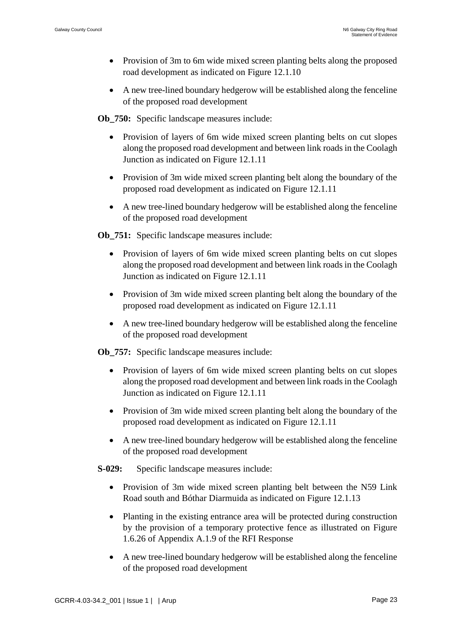- Provision of 3m to 6m wide mixed screen planting belts along the proposed road development as indicated on Figure 12.1.10
- A new tree-lined boundary hedgerow will be established along the fenceline of the proposed road development

**Ob\_750:** Specific landscape measures include:

- Provision of layers of 6m wide mixed screen planting belts on cut slopes along the proposed road development and between link roads in the Coolagh Junction as indicated on Figure 12.1.11
- Provision of 3m wide mixed screen planting belt along the boundary of the proposed road development as indicated on Figure 12.1.11
- A new tree-lined boundary hedgerow will be established along the fenceline of the proposed road development

**Ob\_751:** Specific landscape measures include:

- Provision of layers of 6m wide mixed screen planting belts on cut slopes along the proposed road development and between link roads in the Coolagh Junction as indicated on Figure 12.1.11
- Provision of 3m wide mixed screen planting belt along the boundary of the proposed road development as indicated on Figure 12.1.11
- A new tree-lined boundary hedgerow will be established along the fenceline of the proposed road development

**Ob\_757:** Specific landscape measures include:

- Provision of layers of 6m wide mixed screen planting belts on cut slopes along the proposed road development and between link roads in the Coolagh Junction as indicated on Figure 12.1.11
- Provision of 3m wide mixed screen planting belt along the boundary of the proposed road development as indicated on Figure 12.1.11
- A new tree-lined boundary hedgerow will be established along the fenceline of the proposed road development

**S-029:** Specific landscape measures include:

- Provision of 3m wide mixed screen planting belt between the N59 Link Road south and Bóthar Diarmuida as indicated on Figure 12.1.13
- Planting in the existing entrance area will be protected during construction by the provision of a temporary protective fence as illustrated on Figure 1.6.26 of Appendix A.1.9 of the RFI Response
- A new tree-lined boundary hedgerow will be established along the fenceline of the proposed road development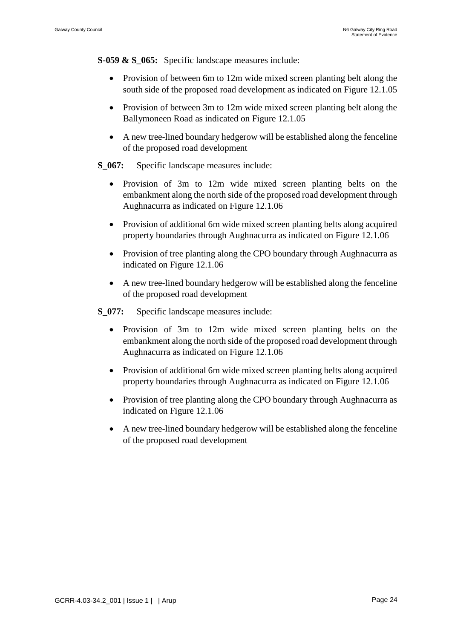**S-059 & S\_065:** Specific landscape measures include:

- Provision of between 6m to 12m wide mixed screen planting belt along the south side of the proposed road development as indicated on Figure 12.1.05
- Provision of between 3m to 12m wide mixed screen planting belt along the Ballymoneen Road as indicated on Figure 12.1.05
- A new tree-lined boundary hedgerow will be established along the fenceline of the proposed road development
- **S\_067:** Specific landscape measures include:
	- Provision of 3m to 12m wide mixed screen planting belts on the embankment along the north side of the proposed road development through Aughnacurra as indicated on Figure 12.1.06
	- Provision of additional 6m wide mixed screen planting belts along acquired property boundaries through Aughnacurra as indicated on Figure 12.1.06
	- Provision of tree planting along the CPO boundary through Aughnacurra as indicated on Figure 12.1.06
	- A new tree-lined boundary hedgerow will be established along the fenceline of the proposed road development
- **S\_077:** Specific landscape measures include:
	- Provision of 3m to 12m wide mixed screen planting belts on the embankment along the north side of the proposed road development through Aughnacurra as indicated on Figure 12.1.06
	- Provision of additional 6m wide mixed screen planting belts along acquired property boundaries through Aughnacurra as indicated on Figure 12.1.06
	- Provision of tree planting along the CPO boundary through Aughnacurra as indicated on Figure 12.1.06
	- A new tree-lined boundary hedgerow will be established along the fenceline of the proposed road development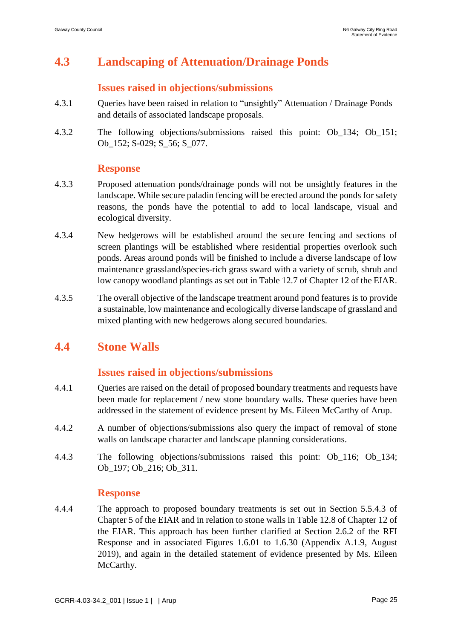# **4.3 Landscaping of Attenuation/Drainage Ponds**

### **Issues raised in objections/submissions**

- 4.3.1 Queries have been raised in relation to "unsightly" Attenuation / Drainage Ponds and details of associated landscape proposals.
- 4.3.2 The following objections/submissions raised this point: Ob\_134; Ob\_151; Ob\_152; S-029; S\_56; S\_077.

#### **Response**

- 4.3.3 Proposed attenuation ponds/drainage ponds will not be unsightly features in the landscape. While secure paladin fencing will be erected around the ponds for safety reasons, the ponds have the potential to add to local landscape, visual and ecological diversity.
- 4.3.4 New hedgerows will be established around the secure fencing and sections of screen plantings will be established where residential properties overlook such ponds. Areas around ponds will be finished to include a diverse landscape of low maintenance grassland/species-rich grass sward with a variety of scrub, shrub and low canopy woodland plantings as set out in Table 12.7 of Chapter 12 of the EIAR.
- 4.3.5 The overall objective of the landscape treatment around pond features is to provide a sustainable, low maintenance and ecologically diverse landscape of grassland and mixed planting with new hedgerows along secured boundaries.

## **4.4 Stone Walls**

### **Issues raised in objections/submissions**

- 4.4.1 Queries are raised on the detail of proposed boundary treatments and requests have been made for replacement / new stone boundary walls. These queries have been addressed in the statement of evidence present by Ms. Eileen McCarthy of Arup.
- 4.4.2 A number of objections/submissions also query the impact of removal of stone walls on landscape character and landscape planning considerations.
- 4.4.3 The following objections/submissions raised this point: Ob\_116; Ob\_134; Ob\_197; Ob\_216; Ob\_311.

#### **Response**

4.4.4 The approach to proposed boundary treatments is set out in Section 5.5.4.3 of Chapter 5 of the EIAR and in relation to stone walls in Table 12.8 of Chapter 12 of the EIAR. This approach has been further clarified at Section 2.6.2 of the RFI Response and in associated Figures 1.6.01 to 1.6.30 (Appendix A.1.9, August 2019), and again in the detailed statement of evidence presented by Ms. Eileen McCarthy.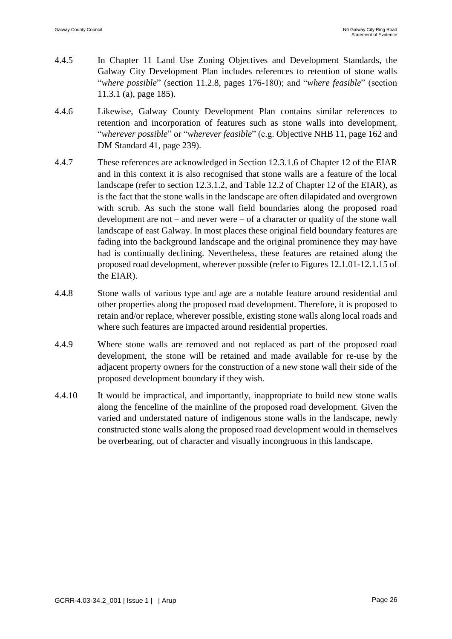- 4.4.5 In Chapter 11 Land Use Zoning Objectives and Development Standards, the Galway City Development Plan includes references to retention of stone walls "*where possible*" (section 11.2.8, pages 176-180); and "*where feasible*" (section 11.3.1 (a), page 185).
- 4.4.6 Likewise, Galway County Development Plan contains similar references to retention and incorporation of features such as stone walls into development, "*wherever possible*" or "*wherever feasible*" (e.g. Objective NHB 11, page 162 and DM Standard 41, page 239).
- 4.4.7 These references are acknowledged in Section 12.3.1.6 of Chapter 12 of the EIAR and in this context it is also recognised that stone walls are a feature of the local landscape (refer to section 12.3.1.2, and Table 12.2 of Chapter 12 of the EIAR), as is the fact that the stone walls in the landscape are often dilapidated and overgrown with scrub. As such the stone wall field boundaries along the proposed road development are not – and never were – of a character or quality of the stone wall landscape of east Galway. In most places these original field boundary features are fading into the background landscape and the original prominence they may have had is continually declining. Nevertheless, these features are retained along the proposed road development, wherever possible (refer to Figures 12.1.01-12.1.15 of the EIAR).
- 4.4.8 Stone walls of various type and age are a notable feature around residential and other properties along the proposed road development. Therefore, it is proposed to retain and/or replace, wherever possible, existing stone walls along local roads and where such features are impacted around residential properties.
- 4.4.9 Where stone walls are removed and not replaced as part of the proposed road development, the stone will be retained and made available for re-use by the adjacent property owners for the construction of a new stone wall their side of the proposed development boundary if they wish.
- 4.4.10 It would be impractical, and importantly, inappropriate to build new stone walls along the fenceline of the mainline of the proposed road development. Given the varied and understated nature of indigenous stone walls in the landscape, newly constructed stone walls along the proposed road development would in themselves be overbearing, out of character and visually incongruous in this landscape.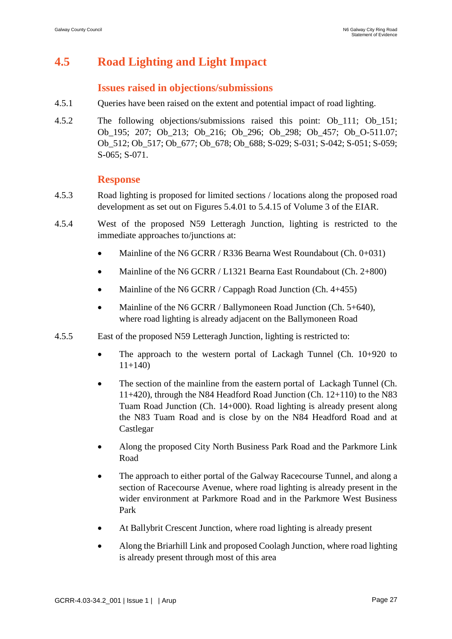# **4.5 Road Lighting and Light Impact**

#### **Issues raised in objections/submissions**

- 4.5.1 Queries have been raised on the extent and potential impact of road lighting.
- 4.5.2 The following objections/submissions raised this point: Ob\_111; Ob\_151; Ob\_195; 207; Ob\_213; Ob\_216; Ob\_296; Ob\_298; Ob\_457; Ob\_O-511.07; Ob\_512; Ob\_517; Ob\_677; Ob\_678; Ob\_688; S-029; S-031; S-042; S-051; S-059; S-065; S-071.

#### **Response**

- 4.5.3 Road lighting is proposed for limited sections / locations along the proposed road development as set out on Figures 5.4.01 to 5.4.15 of Volume 3 of the EIAR.
- 4.5.4 West of the proposed N59 Letteragh Junction, lighting is restricted to the immediate approaches to/junctions at:
	- Mainline of the N6 GCRR / R336 Bearna West Roundabout (Ch. 0+031)
	- Mainline of the N6 GCRR / L1321 Bearna East Roundabout (Ch. 2+800)
	- Mainline of the N6 GCRR / Cappagh Road Junction (Ch. 4+455)
	- Mainline of the N6 GCRR / Ballymoneen Road Junction (Ch. 5+640), where road lighting is already adjacent on the Ballymoneen Road
- 4.5.5 East of the proposed N59 Letteragh Junction, lighting is restricted to:
	- The approach to the western portal of Lackagh Tunnel (Ch. 10+920 to 11+140)
	- The section of the mainline from the eastern portal of Lackagh Tunnel (Ch. 11+420), through the N84 Headford Road Junction (Ch. 12+110) to the N83 Tuam Road Junction (Ch. 14+000). Road lighting is already present along the N83 Tuam Road and is close by on the N84 Headford Road and at Castlegar
	- Along the proposed City North Business Park Road and the Parkmore Link Road
	- The approach to either portal of the Galway Racecourse Tunnel, and along a section of Racecourse Avenue, where road lighting is already present in the wider environment at Parkmore Road and in the Parkmore West Business Park
	- At Ballybrit Crescent Junction, where road lighting is already present
	- Along the Briarhill Link and proposed Coolagh Junction, where road lighting is already present through most of this area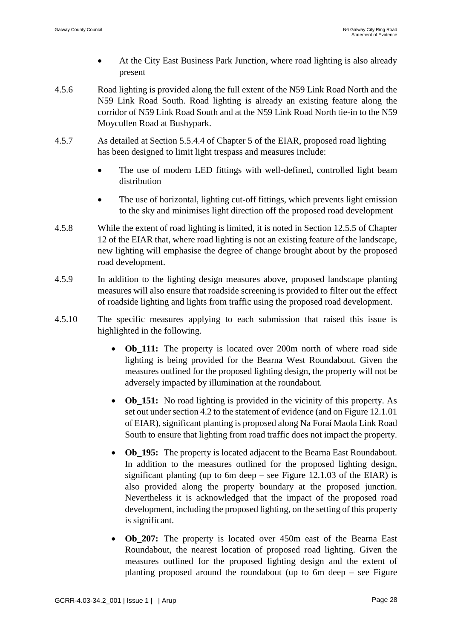- At the City East Business Park Junction, where road lighting is also already present
- 4.5.6 Road lighting is provided along the full extent of the N59 Link Road North and the N59 Link Road South. Road lighting is already an existing feature along the corridor of N59 Link Road South and at the N59 Link Road North tie-in to the N59 Moycullen Road at Bushypark.
- 4.5.7 As detailed at Section 5.5.4.4 of Chapter 5 of the EIAR, proposed road lighting has been designed to limit light trespass and measures include:
	- The use of modern LED fittings with well-defined, controlled light beam distribution
	- The use of horizontal, lighting cut-off fittings, which prevents light emission to the sky and minimises light direction off the proposed road development
- 4.5.8 While the extent of road lighting is limited, it is noted in Section 12.5.5 of Chapter 12 of the EIAR that, where road lighting is not an existing feature of the landscape, new lighting will emphasise the degree of change brought about by the proposed road development.
- 4.5.9 In addition to the lighting design measures above, proposed landscape planting measures will also ensure that roadside screening is provided to filter out the effect of roadside lighting and lights from traffic using the proposed road development.
- 4.5.10 The specific measures applying to each submission that raised this issue is highlighted in the following.
	- **Ob\_111:** The property is located over 200m north of where road side lighting is being provided for the Bearna West Roundabout. Given the measures outlined for the proposed lighting design, the property will not be adversely impacted by illumination at the roundabout.
	- **Ob 151:** No road lighting is provided in the vicinity of this property. As set out under section 4.2 to the statement of evidence (and on Figure 12.1.01 of EIAR), significant planting is proposed along Na Foraí Maola Link Road South to ensure that lighting from road traffic does not impact the property.
	- **Ob 195:** The property is located adjacent to the Bearna East Roundabout. In addition to the measures outlined for the proposed lighting design, significant planting (up to 6m deep – see Figure  $12.1.03$  of the EIAR) is also provided along the property boundary at the proposed junction. Nevertheless it is acknowledged that the impact of the proposed road development, including the proposed lighting, on the setting of this property is significant.
	- **Ob** 207: The property is located over 450m east of the Bearna East Roundabout, the nearest location of proposed road lighting. Given the measures outlined for the proposed lighting design and the extent of planting proposed around the roundabout (up to 6m deep – see Figure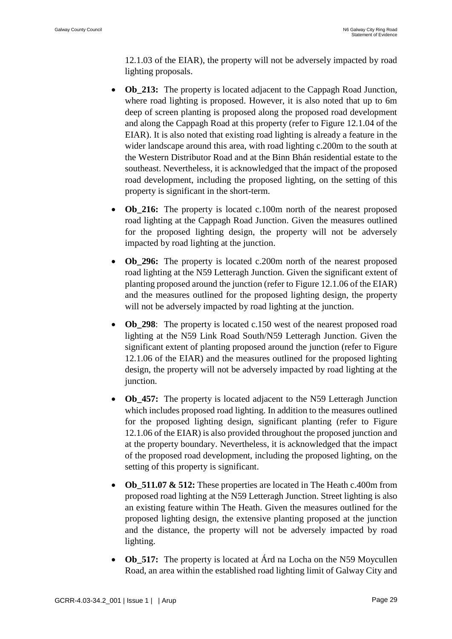12.1.03 of the EIAR), the property will not be adversely impacted by road lighting proposals.

- **Ob** 213: The property is located adjacent to the Cappagh Road Junction, where road lighting is proposed. However, it is also noted that up to 6m deep of screen planting is proposed along the proposed road development and along the Cappagh Road at this property (refer to Figure 12.1.04 of the EIAR). It is also noted that existing road lighting is already a feature in the wider landscape around this area, with road lighting c.200m to the south at the Western Distributor Road and at the Binn Bhán residential estate to the southeast. Nevertheless, it is acknowledged that the impact of the proposed road development, including the proposed lighting, on the setting of this property is significant in the short-term.
- **Ob\_216:** The property is located c.100m north of the nearest proposed road lighting at the Cappagh Road Junction. Given the measures outlined for the proposed lighting design, the property will not be adversely impacted by road lighting at the junction.
- **Ob 296:** The property is located c.200m north of the nearest proposed road lighting at the N59 Letteragh Junction. Given the significant extent of planting proposed around the junction (refer to Figure 12.1.06 of the EIAR) and the measures outlined for the proposed lighting design, the property will not be adversely impacted by road lighting at the junction.
- **Ob\_298**: The property is located c.150 west of the nearest proposed road lighting at the N59 Link Road South/N59 Letteragh Junction. Given the significant extent of planting proposed around the junction (refer to Figure 12.1.06 of the EIAR) and the measures outlined for the proposed lighting design, the property will not be adversely impacted by road lighting at the junction.
- **Ob\_457:** The property is located adjacent to the N59 Letteragh Junction which includes proposed road lighting. In addition to the measures outlined for the proposed lighting design, significant planting (refer to Figure 12.1.06 of the EIAR) is also provided throughout the proposed junction and at the property boundary. Nevertheless, it is acknowledged that the impact of the proposed road development, including the proposed lighting, on the setting of this property is significant.
- **Ob\_511.07 & 512:** These properties are located in The Heath c.400m from proposed road lighting at the N59 Letteragh Junction. Street lighting is also an existing feature within The Heath. Given the measures outlined for the proposed lighting design, the extensive planting proposed at the junction and the distance, the property will not be adversely impacted by road lighting.
- **Ob\_517:** The property is located at Ard na Locha on the N59 Moycullen Road, an area within the established road lighting limit of Galway City and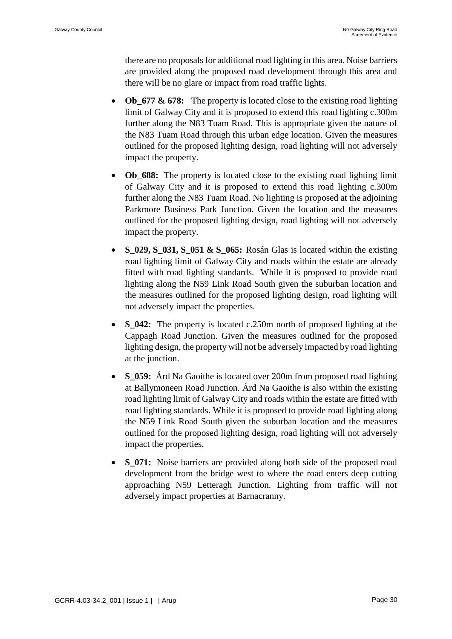there are no proposals for additional road lighting in this area. Noise barriers are provided along the proposed road development through this area and there will be no glare or impact from road traffic lights.

- **Ob** 677 & 678: The property is located close to the existing road lighting limit of Galway City and it is proposed to extend this road lighting c.300m further along the N83 Tuam Road. This is appropriate given the nature of the N83 Tuam Road through this urban edge location. Given the measures outlined for the proposed lighting design, road lighting will not adversely impact the property.
- **Ob 688:** The property is located close to the existing road lighting limit of Galway City and it is proposed to extend this road lighting c.300m further along the N83 Tuam Road. No lighting is proposed at the adjoining Parkmore Business Park Junction. Given the location and the measures outlined for the proposed lighting design, road lighting will not adversely impact the property.
- **S\_029, S\_031, S\_051 & S\_065:** Rosán Glas is located within the existing road lighting limit of Galway City and roads within the estate are already fitted with road lighting standards. While it is proposed to provide road lighting along the N59 Link Road South given the suburban location and the measures outlined for the proposed lighting design, road lighting will not adversely impact the properties.
- **S\_042:** The property is located c.250m north of proposed lighting at the Cappagh Road Junction. Given the measures outlined for the proposed lighting design, the property will not be adversely impacted by road lighting at the junction.
- **S\_059:** Ard Na Gaoithe is located over 200m from proposed road lighting at Ballymoneen Road Junction. Árd Na Gaoithe is also within the existing road lighting limit of Galway City and roads within the estate are fitted with road lighting standards. While it is proposed to provide road lighting along the N59 Link Road South given the suburban location and the measures outlined for the proposed lighting design, road lighting will not adversely impact the properties.
- **S** 071: Noise barriers are provided along both side of the proposed road development from the bridge west to where the road enters deep cutting approaching N59 Letteragh Junction. Lighting from traffic will not adversely impact properties at Barnacranny.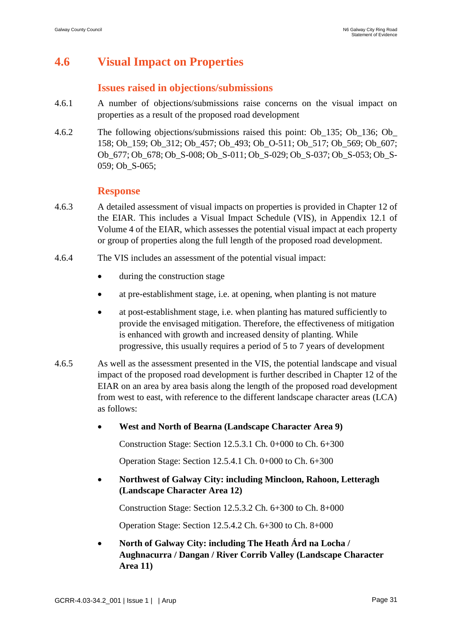# **4.6 Visual Impact on Properties**

### **Issues raised in objections/submissions**

- 4.6.1 A number of objections/submissions raise concerns on the visual impact on properties as a result of the proposed road development
- 4.6.2 The following objections/submissions raised this point: Ob\_135; Ob\_136; Ob\_ 158; Ob\_159; Ob\_312; Ob\_457; Ob\_493; Ob\_O-511; Ob\_517; Ob\_569; Ob\_607; Ob\_677; Ob\_678; Ob\_S-008; Ob\_S-011; Ob\_S-029; Ob\_S-037; Ob\_S-053; Ob\_S-059; Ob\_S-065;

#### **Response**

- 4.6.3 A detailed assessment of visual impacts on properties is provided in Chapter 12 of the EIAR. This includes a Visual Impact Schedule (VIS), in Appendix 12.1 of Volume 4 of the EIAR, which assesses the potential visual impact at each property or group of properties along the full length of the proposed road development.
- 4.6.4 The VIS includes an assessment of the potential visual impact:
	- during the construction stage
	- at pre-establishment stage, i.e. at opening, when planting is not mature
	- at post-establishment stage, i.e. when planting has matured sufficiently to provide the envisaged mitigation. Therefore, the effectiveness of mitigation is enhanced with growth and increased density of planting. While progressive, this usually requires a period of 5 to 7 years of development
- 4.6.5 As well as the assessment presented in the VIS, the potential landscape and visual impact of the proposed road development is further described in Chapter 12 of the EIAR on an area by area basis along the length of the proposed road development from west to east, with reference to the different landscape character areas (LCA) as follows:
	- **West and North of Bearna (Landscape Character Area 9)**

Construction Stage: Section 12.5.3.1 Ch. 0+000 to Ch. 6+300

Operation Stage: Section 12.5.4.1 Ch. 0+000 to Ch. 6+300

• **Northwest of Galway City: including Mincloon, Rahoon, Letteragh (Landscape Character Area 12)**

Construction Stage: Section 12.5.3.2 Ch. 6+300 to Ch. 8+000

Operation Stage: Section 12.5.4.2 Ch. 6+300 to Ch. 8+000

• **North of Galway City: including The Heath Árd na Locha / Aughnacurra / Dangan / River Corrib Valley (Landscape Character Area 11)**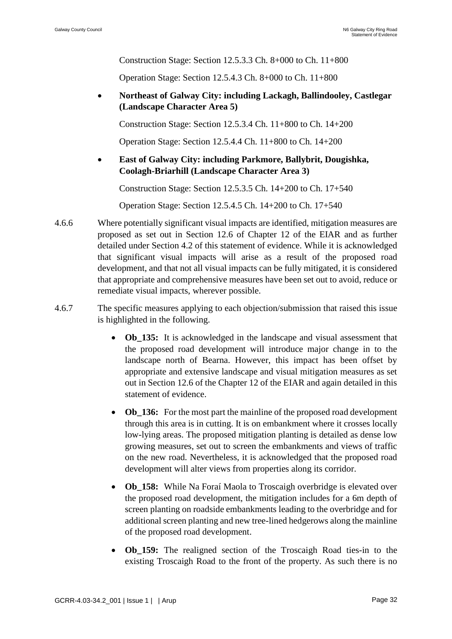Construction Stage: Section 12.5.3.3 Ch. 8+000 to Ch. 11+800

Operation Stage: Section 12.5.4.3 Ch. 8+000 to Ch. 11+800

• **Northeast of Galway City: including Lackagh, Ballindooley, Castlegar (Landscape Character Area 5)**

Construction Stage: Section 12.5.3.4 Ch. 11+800 to Ch. 14+200

Operation Stage: Section 12.5.4.4 Ch. 11+800 to Ch. 14+200

• **East of Galway City: including Parkmore, Ballybrit, Dougishka, Coolagh-Briarhill (Landscape Character Area 3)**

Construction Stage: Section 12.5.3.5 Ch. 14+200 to Ch. 17+540

Operation Stage: Section 12.5.4.5 Ch. 14+200 to Ch. 17+540

- 4.6.6 Where potentially significant visual impacts are identified, mitigation measures are proposed as set out in Section 12.6 of Chapter 12 of the EIAR and as further detailed under Section 4.2 of this statement of evidence. While it is acknowledged that significant visual impacts will arise as a result of the proposed road development, and that not all visual impacts can be fully mitigated, it is considered that appropriate and comprehensive measures have been set out to avoid, reduce or remediate visual impacts, wherever possible.
- 4.6.7 The specific measures applying to each objection/submission that raised this issue is highlighted in the following.
	- **Ob 135:** It is acknowledged in the landscape and visual assessment that the proposed road development will introduce major change in to the landscape north of Bearna. However, this impact has been offset by appropriate and extensive landscape and visual mitigation measures as set out in Section 12.6 of the Chapter 12 of the EIAR and again detailed in this statement of evidence.
	- **Ob 136:** For the most part the mainline of the proposed road development through this area is in cutting. It is on embankment where it crosses locally low-lying areas. The proposed mitigation planting is detailed as dense low growing measures, set out to screen the embankments and views of traffic on the new road. Nevertheless, it is acknowledged that the proposed road development will alter views from properties along its corridor.
	- **Ob 158:** While Na Foraí Maola to Troscaigh overbridge is elevated over the proposed road development, the mitigation includes for a 6m depth of screen planting on roadside embankments leading to the overbridge and for additional screen planting and new tree-lined hedgerows along the mainline of the proposed road development.
	- **Ob\_159:** The realigned section of the Troscaigh Road ties-in to the existing Troscaigh Road to the front of the property. As such there is no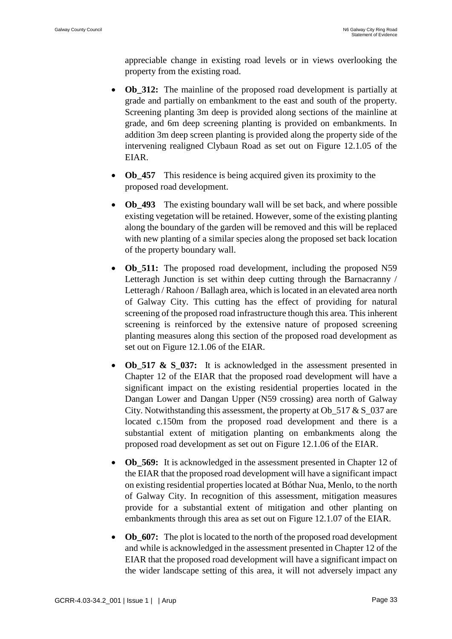appreciable change in existing road levels or in views overlooking the property from the existing road.

- **Ob 312:** The mainline of the proposed road development is partially at grade and partially on embankment to the east and south of the property. Screening planting 3m deep is provided along sections of the mainline at grade, and 6m deep screening planting is provided on embankments. In addition 3m deep screen planting is provided along the property side of the intervening realigned Clybaun Road as set out on Figure 12.1.05 of the EIAR.
- **Ob** 457 This residence is being acquired given its proximity to the proposed road development.
- **Ob\_493** The existing boundary wall will be set back, and where possible existing vegetation will be retained. However, some of the existing planting along the boundary of the garden will be removed and this will be replaced with new planting of a similar species along the proposed set back location of the property boundary wall.
- **Ob 511:** The proposed road development, including the proposed N59 Letteragh Junction is set within deep cutting through the Barnacranny / Letteragh / Rahoon / Ballagh area, which is located in an elevated area north of Galway City. This cutting has the effect of providing for natural screening of the proposed road infrastructure though this area. This inherent screening is reinforced by the extensive nature of proposed screening planting measures along this section of the proposed road development as set out on Figure 12.1.06 of the EIAR.
- **Ob\_517 & S\_037:** It is acknowledged in the assessment presented in Chapter 12 of the EIAR that the proposed road development will have a significant impact on the existing residential properties located in the Dangan Lower and Dangan Upper (N59 crossing) area north of Galway City. Notwithstanding this assessment, the property at Ob  $517 &$  & S  $037$  are located c.150m from the proposed road development and there is a substantial extent of mitigation planting on embankments along the proposed road development as set out on Figure 12.1.06 of the EIAR.
- **Ob 569:** It is acknowledged in the assessment presented in Chapter 12 of the EIAR that the proposed road development will have a significant impact on existing residential properties located at Bóthar Nua, Menlo, to the north of Galway City. In recognition of this assessment, mitigation measures provide for a substantial extent of mitigation and other planting on embankments through this area as set out on Figure 12.1.07 of the EIAR.
- **Ob\_607:** The plot is located to the north of the proposed road development and while is acknowledged in the assessment presented in Chapter 12 of the EIAR that the proposed road development will have a significant impact on the wider landscape setting of this area, it will not adversely impact any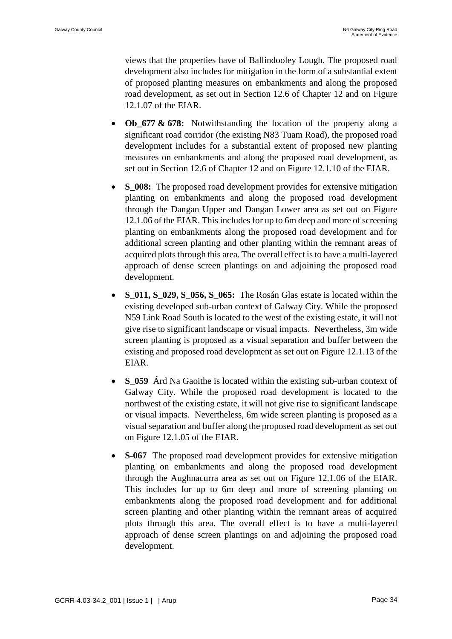views that the properties have of Ballindooley Lough. The proposed road development also includes for mitigation in the form of a substantial extent of proposed planting measures on embankments and along the proposed road development, as set out in Section 12.6 of Chapter 12 and on Figure 12.1.07 of the EIAR.

- **Ob\_677 & 678:** Notwithstanding the location of the property along a significant road corridor (the existing N83 Tuam Road), the proposed road development includes for a substantial extent of proposed new planting measures on embankments and along the proposed road development, as set out in Section 12.6 of Chapter 12 and on Figure 12.1.10 of the EIAR.
- **S\_008:** The proposed road development provides for extensive mitigation planting on embankments and along the proposed road development through the Dangan Upper and Dangan Lower area as set out on Figure 12.1.06 of the EIAR. This includes for up to 6m deep and more of screening planting on embankments along the proposed road development and for additional screen planting and other planting within the remnant areas of acquired plots through this area. The overall effect is to have a multi-layered approach of dense screen plantings on and adjoining the proposed road development.
- **S** 011, **S** 029, **S** 056, **S** 065: The Rosán Glas estate is located within the existing developed sub-urban context of Galway City. While the proposed N59 Link Road South is located to the west of the existing estate, it will not give rise to significant landscape or visual impacts. Nevertheless, 3m wide screen planting is proposed as a visual separation and buffer between the existing and proposed road development as set out on Figure 12.1.13 of the EIAR.
- **S** 059 Árd Na Gaoithe is located within the existing sub-urban context of Galway City. While the proposed road development is located to the northwest of the existing estate, it will not give rise to significant landscape or visual impacts. Nevertheless, 6m wide screen planting is proposed as a visual separation and buffer along the proposed road development as set out on Figure 12.1.05 of the EIAR.
- **S-067** The proposed road development provides for extensive mitigation planting on embankments and along the proposed road development through the Aughnacurra area as set out on Figure 12.1.06 of the EIAR. This includes for up to 6m deep and more of screening planting on embankments along the proposed road development and for additional screen planting and other planting within the remnant areas of acquired plots through this area. The overall effect is to have a multi-layered approach of dense screen plantings on and adjoining the proposed road development.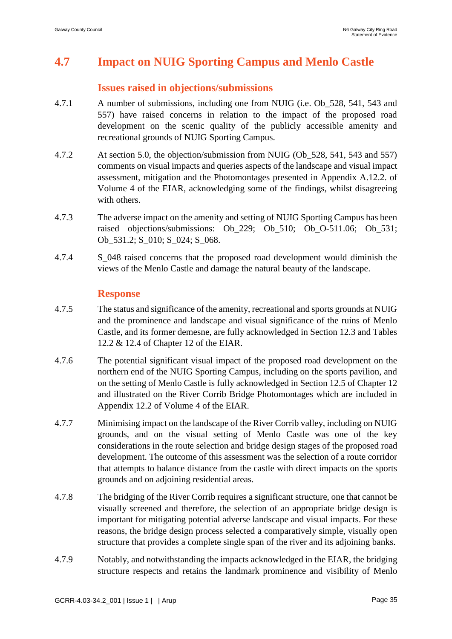## **4.7 Impact on NUIG Sporting Campus and Menlo Castle**

### **Issues raised in objections/submissions**

- 4.7.1 A number of submissions, including one from NUIG (i.e. Ob\_528, 541, 543 and 557) have raised concerns in relation to the impact of the proposed road development on the scenic quality of the publicly accessible amenity and recreational grounds of NUIG Sporting Campus.
- 4.7.2 At section 5.0, the objection/submission from NUIG (Ob\_528, 541, 543 and 557) comments on visual impacts and queries aspects of the landscape and visual impact assessment, mitigation and the Photomontages presented in Appendix A.12.2. of Volume 4 of the EIAR, acknowledging some of the findings, whilst disagreeing with others.
- 4.7.3 The adverse impact on the amenity and setting of NUIG Sporting Campus has been raised objections/submissions: Ob 229; Ob 510; Ob O-511.06; Ob 531; Ob 531.2; S 010; S 024; S 068.
- 4.7.4 S\_048 raised concerns that the proposed road development would diminish the views of the Menlo Castle and damage the natural beauty of the landscape.

#### **Response**

- 4.7.5 The status and significance of the amenity, recreational and sports grounds at NUIG and the prominence and landscape and visual significance of the ruins of Menlo Castle, and its former demesne, are fully acknowledged in Section 12.3 and Tables 12.2 & 12.4 of Chapter 12 of the EIAR.
- 4.7.6 The potential significant visual impact of the proposed road development on the northern end of the NUIG Sporting Campus, including on the sports pavilion, and on the setting of Menlo Castle is fully acknowledged in Section 12.5 of Chapter 12 and illustrated on the River Corrib Bridge Photomontages which are included in Appendix 12.2 of Volume 4 of the EIAR.
- 4.7.7 Minimising impact on the landscape of the River Corrib valley, including on NUIG grounds, and on the visual setting of Menlo Castle was one of the key considerations in the route selection and bridge design stages of the proposed road development. The outcome of this assessment was the selection of a route corridor that attempts to balance distance from the castle with direct impacts on the sports grounds and on adjoining residential areas.
- 4.7.8 The bridging of the River Corrib requires a significant structure, one that cannot be visually screened and therefore, the selection of an appropriate bridge design is important for mitigating potential adverse landscape and visual impacts. For these reasons, the bridge design process selected a comparatively simple, visually open structure that provides a complete single span of the river and its adjoining banks.
- 4.7.9 Notably, and notwithstanding the impacts acknowledged in the EIAR, the bridging structure respects and retains the landmark prominence and visibility of Menlo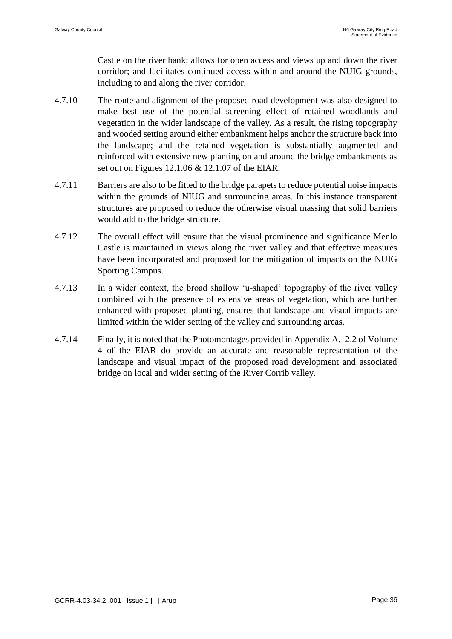Castle on the river bank; allows for open access and views up and down the river corridor; and facilitates continued access within and around the NUIG grounds, including to and along the river corridor.

- 4.7.10 The route and alignment of the proposed road development was also designed to make best use of the potential screening effect of retained woodlands and vegetation in the wider landscape of the valley. As a result, the rising topography and wooded setting around either embankment helps anchor the structure back into the landscape; and the retained vegetation is substantially augmented and reinforced with extensive new planting on and around the bridge embankments as set out on Figures 12.1.06 & 12.1.07 of the EIAR.
- 4.7.11 Barriers are also to be fitted to the bridge parapets to reduce potential noise impacts within the grounds of NIUG and surrounding areas. In this instance transparent structures are proposed to reduce the otherwise visual massing that solid barriers would add to the bridge structure.
- 4.7.12 The overall effect will ensure that the visual prominence and significance Menlo Castle is maintained in views along the river valley and that effective measures have been incorporated and proposed for the mitigation of impacts on the NUIG Sporting Campus.
- 4.7.13 In a wider context, the broad shallow 'u-shaped' topography of the river valley combined with the presence of extensive areas of vegetation, which are further enhanced with proposed planting, ensures that landscape and visual impacts are limited within the wider setting of the valley and surrounding areas.
- 4.7.14 Finally, it is noted that the Photomontages provided in Appendix A.12.2 of Volume 4 of the EIAR do provide an accurate and reasonable representation of the landscape and visual impact of the proposed road development and associated bridge on local and wider setting of the River Corrib valley.